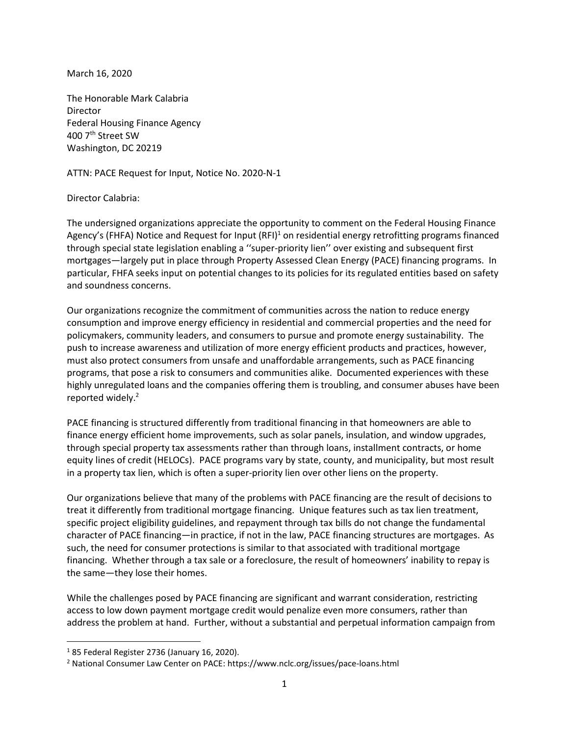March 16, 2020

The Honorable Mark Calabria Director Federal Housing Finance Agency 400 7th Street SW Washington, DC 20219

ATTN: PACE Request for Input, Notice No. 2020-N-1

## Director Calabria:

The undersigned organizations appreciate the opportunity to comment on the Federal Housing Finance Agency's (FHFA) Notice and Request for Input (RFI)<sup>1</sup> on residential energy retrofitting programs financed through special state legislation enabling a ''super-priority lien'' over existing and subsequent first mortgages—largely put in place through Property Assessed Clean Energy (PACE) financing programs. In particular, FHFA seeks input on potential changes to its policies for its regulated entities based on safety and soundness concerns.

Our organizations recognize the commitment of communities across the nation to reduce energy consumption and improve energy efficiency in residential and commercial properties and the need for policymakers, community leaders, and consumers to pursue and promote energy sustainability. The push to increase awareness and utilization of more energy efficient products and practices, however, must also protect consumers from unsafe and unaffordable arrangements, such as PACE financing programs, that pose a risk to consumers and communities alike. Documented experiences with these highly unregulated loans and the companies offering them is troubling, and consumer abuses have been reported widely. 2

PACE financing is structured differently from traditional financing in that homeowners are able to finance energy efficient home improvements, such as solar panels, insulation, and window upgrades, through special property tax assessments rather than through loans, installment contracts, or home equity lines of credit (HELOCs). PACE programs vary by state, county, and municipality, but most result in a property tax lien, which is often a super-priority lien over other liens on the property.

Our organizations believe that many of the problems with PACE financing are the result of decisions to treat it differently from traditional mortgage financing. Unique features such as tax lien treatment, specific project eligibility guidelines, and repayment through tax bills do not change the fundamental character of PACE financing—in practice, if not in the law, PACE financing structures are mortgages. As such, the need for consumer protections is similar to that associated with traditional mortgage financing. Whether through a tax sale or a foreclosure, the result of homeowners' inability to repay is the same—they lose their homes.

While the challenges posed by PACE financing are significant and warrant consideration, restricting access to low down payment mortgage credit would penalize even more consumers, rather than address the problem at hand. Further, without a substantial and perpetual information campaign from

 $185$  Federal Register 2736 (January 16, 2020).

<sup>2</sup> National Consumer Law Center on PACE: https://www.nclc.org/issues/pace-loans.html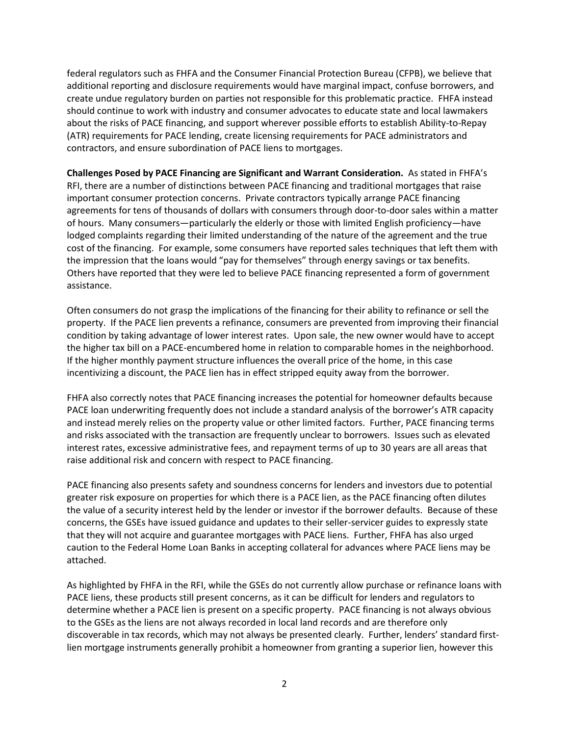federal regulators such as FHFA and the Consumer Financial Protection Bureau (CFPB), we believe that additional reporting and disclosure requirements would have marginal impact, confuse borrowers, and create undue regulatory burden on parties not responsible for this problematic practice. FHFA instead should continue to work with industry and consumer advocates to educate state and local lawmakers about the risks of PACE financing, and support wherever possible efforts to establish Ability-to-Repay (ATR) requirements for PACE lending, create licensing requirements for PACE administrators and contractors, and ensure subordination of PACE liens to mortgages.

**Challenges Posed by PACE Financing are Significant and Warrant Consideration.** As stated in FHFA's RFI, there are a number of distinctions between PACE financing and traditional mortgages that raise important consumer protection concerns. Private contractors typically arrange PACE financing agreements for tens of thousands of dollars with consumers through door-to-door sales within a matter of hours. Many consumers—particularly the elderly or those with limited English proficiency—have lodged complaints regarding their limited understanding of the nature of the agreement and the true cost of the financing. For example, some consumers have reported sales techniques that left them with the impression that the loans would "pay for themselves" through energy savings or tax benefits. Others have reported that they were led to believe PACE financing represented a form of government assistance.

Often consumers do not grasp the implications of the financing for their ability to refinance or sell the property. If the PACE lien prevents a refinance, consumers are prevented from improving their financial condition by taking advantage of lower interest rates. Upon sale, the new owner would have to accept the higher tax bill on a PACE-encumbered home in relation to comparable homes in the neighborhood. If the higher monthly payment structure influences the overall price of the home, in this case incentivizing a discount, the PACE lien has in effect stripped equity away from the borrower.

FHFA also correctly notes that PACE financing increases the potential for homeowner defaults because PACE loan underwriting frequently does not include a standard analysis of the borrower's ATR capacity and instead merely relies on the property value or other limited factors. Further, PACE financing terms and risks associated with the transaction are frequently unclear to borrowers. Issues such as elevated interest rates, excessive administrative fees, and repayment terms of up to 30 years are all areas that raise additional risk and concern with respect to PACE financing.

PACE financing also presents safety and soundness concerns for lenders and investors due to potential greater risk exposure on properties for which there is a PACE lien, as the PACE financing often dilutes the value of a security interest held by the lender or investor if the borrower defaults. Because of these concerns, the GSEs have issued guidance and updates to their seller-servicer guides to expressly state that they will not acquire and guarantee mortgages with PACE liens. Further, FHFA has also urged caution to the Federal Home Loan Banks in accepting collateral for advances where PACE liens may be attached.

As highlighted by FHFA in the RFI, while the GSEs do not currently allow purchase or refinance loans with PACE liens, these products still present concerns, as it can be difficult for lenders and regulators to determine whether a PACE lien is present on a specific property. PACE financing is not always obvious to the GSEs as the liens are not always recorded in local land records and are therefore only discoverable in tax records, which may not always be presented clearly. Further, lenders' standard firstlien mortgage instruments generally prohibit a homeowner from granting a superior lien, however this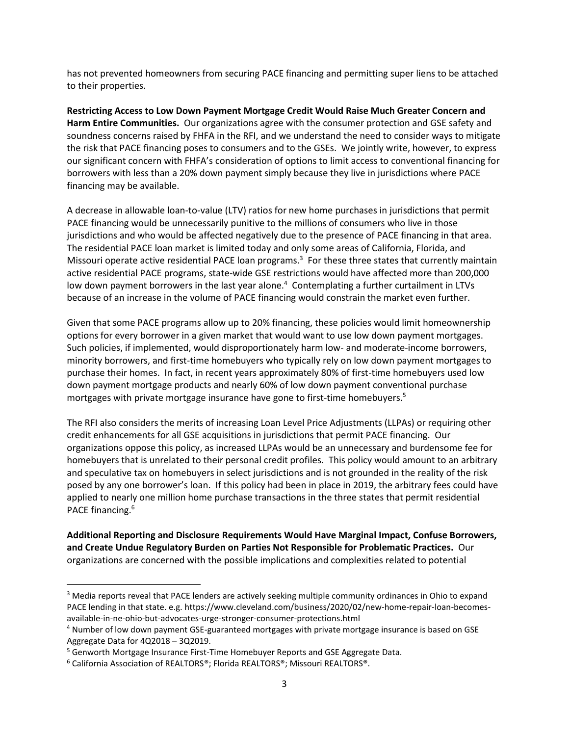has not prevented homeowners from securing PACE financing and permitting super liens to be attached to their properties.

**Restricting Access to Low Down Payment Mortgage Credit Would Raise Much Greater Concern and Harm Entire Communities.** Our organizations agree with the consumer protection and GSE safety and soundness concerns raised by FHFA in the RFI, and we understand the need to consider ways to mitigate the risk that PACE financing poses to consumers and to the GSEs. We jointly write, however, to express our significant concern with FHFA's consideration of options to limit access to conventional financing for borrowers with less than a 20% down payment simply because they live in jurisdictions where PACE financing may be available.

A decrease in allowable loan-to-value (LTV) ratios for new home purchases in jurisdictions that permit PACE financing would be unnecessarily punitive to the millions of consumers who live in those jurisdictions and who would be affected negatively due to the presence of PACE financing in that area. The residential PACE loan market is limited today and only some areas of California, Florida, and Missouri operate active residential PACE loan programs.<sup>3</sup> For these three states that currently maintain active residential PACE programs, state-wide GSE restrictions would have affected more than 200,000 low down payment borrowers in the last year alone.<sup>4</sup> Contemplating a further curtailment in LTVs because of an increase in the volume of PACE financing would constrain the market even further.

Given that some PACE programs allow up to 20% financing, these policies would limit homeownership options for every borrower in a given market that would want to use low down payment mortgages. Such policies, if implemented, would disproportionately harm low- and moderate-income borrowers, minority borrowers, and first-time homebuyers who typically rely on low down payment mortgages to purchase their homes. In fact, in recent years approximately 80% of first-time homebuyers used low down payment mortgage products and nearly 60% of low down payment conventional purchase mortgages with private mortgage insurance have gone to first-time homebuyers.<sup>5</sup>

The RFI also considers the merits of increasing Loan Level Price Adjustments (LLPAs) or requiring other credit enhancements for all GSE acquisitions in jurisdictions that permit PACE financing. Our organizations oppose this policy, as increased LLPAs would be an unnecessary and burdensome fee for homebuyers that is unrelated to their personal credit profiles. This policy would amount to an arbitrary and speculative tax on homebuyers in select jurisdictions and is not grounded in the reality of the risk posed by any one borrower's loan. If this policy had been in place in 2019, the arbitrary fees could have applied to nearly one million home purchase transactions in the three states that permit residential PACE financing.<sup>6</sup>

**Additional Reporting and Disclosure Requirements Would Have Marginal Impact, Confuse Borrowers, and Create Undue Regulatory Burden on Parties Not Responsible for Problematic Practices.** Our organizations are concerned with the possible implications and complexities related to potential

<sup>&</sup>lt;sup>3</sup> Media reports reveal that PACE lenders are actively seeking multiple community ordinances in Ohio to expand PACE lending in that state. e.g. https://www.cleveland.com/business/2020/02/new-home-repair-loan-becomesavailable-in-ne-ohio-but-advocates-urge-stronger-consumer-protections.html

<sup>4</sup> Number of low down payment GSE-guaranteed mortgages with private mortgage insurance is based on GSE Aggregate Data for 4Q2018 – 3Q2019.

<sup>5</sup> Genworth Mortgage Insurance First-Time Homebuyer Reports and GSE Aggregate Data.

<sup>6</sup> California Association of REALTORS®; Florida REALTORS®; Missouri REALTORS®.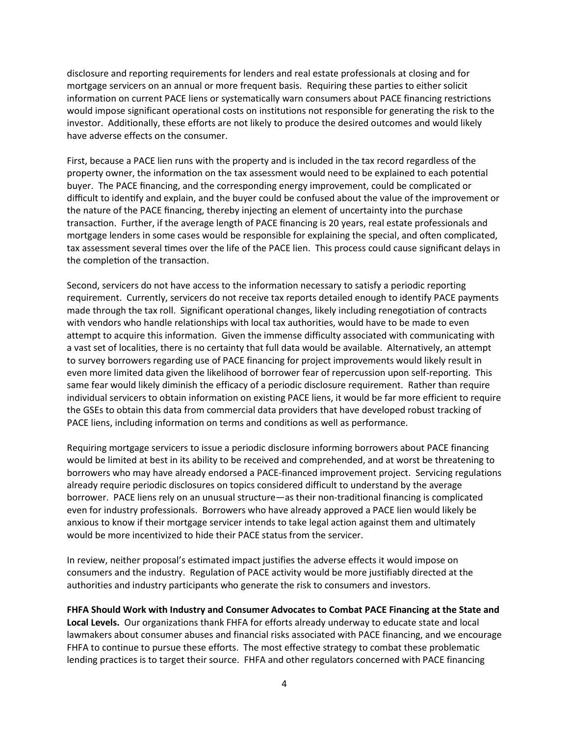disclosure and reporting requirements for lenders and real estate professionals at closing and for mortgage servicers on an annual or more frequent basis. Requiring these parties to either solicit information on current PACE liens or systematically warn consumers about PACE financing restrictions would impose significant operational costs on institutions not responsible for generating the risk to the investor. Additionally, these efforts are not likely to produce the desired outcomes and would likely have adverse effects on the consumer.

First, because a PACE lien runs with the property and is included in the tax record regardless of the property owner, the information on the tax assessment would need to be explained to each potential buyer. The PACE financing, and the corresponding energy improvement, could be complicated or difficult to identify and explain, and the buyer could be confused about the value of the improvement or the nature of the PACE financing, thereby injecting an element of uncertainty into the purchase transaction. Further, if the average length of PACE financing is 20 years, real estate professionals and mortgage lenders in some cases would be responsible for explaining the special, and often complicated, tax assessment several times over the life of the PACE lien. This process could cause significant delays in the completion of the transaction.

Second, servicers do not have access to the information necessary to satisfy a periodic reporting requirement. Currently, servicers do not receive tax reports detailed enough to identify PACE payments made through the tax roll. Significant operational changes, likely including renegotiation of contracts with vendors who handle relationships with local tax authorities, would have to be made to even attempt to acquire this information. Given the immense difficulty associated with communicating with a vast set of localities, there is no certainty that full data would be available. Alternatively, an attempt to survey borrowers regarding use of PACE financing for project improvements would likely result in even more limited data given the likelihood of borrower fear of repercussion upon self-reporting. This same fear would likely diminish the efficacy of a periodic disclosure requirement. Rather than require individual servicers to obtain information on existing PACE liens, it would be far more efficient to require the GSEs to obtain this data from commercial data providers that have developed robust tracking of PACE liens, including information on terms and conditions as well as performance.

Requiring mortgage servicers to issue a periodic disclosure informing borrowers about PACE financing would be limited at best in its ability to be received and comprehended, and at worst be threatening to borrowers who may have already endorsed a PACE-financed improvement project. Servicing regulations already require periodic disclosures on topics considered difficult to understand by the average borrower. PACE liens rely on an unusual structure—as their non-traditional financing is complicated even for industry professionals. Borrowers who have already approved a PACE lien would likely be anxious to know if their mortgage servicer intends to take legal action against them and ultimately would be more incentivized to hide their PACE status from the servicer.

In review, neither proposal's estimated impact justifies the adverse effects it would impose on consumers and the industry. Regulation of PACE activity would be more justifiably directed at the authorities and industry participants who generate the risk to consumers and investors.

**FHFA Should Work with Industry and Consumer Advocates to Combat PACE Financing at the State and Local Levels.** Our organizations thank FHFA for efforts already underway to educate state and local lawmakers about consumer abuses and financial risks associated with PACE financing, and we encourage FHFA to continue to pursue these efforts. The most effective strategy to combat these problematic lending practices is to target their source. FHFA and other regulators concerned with PACE financing